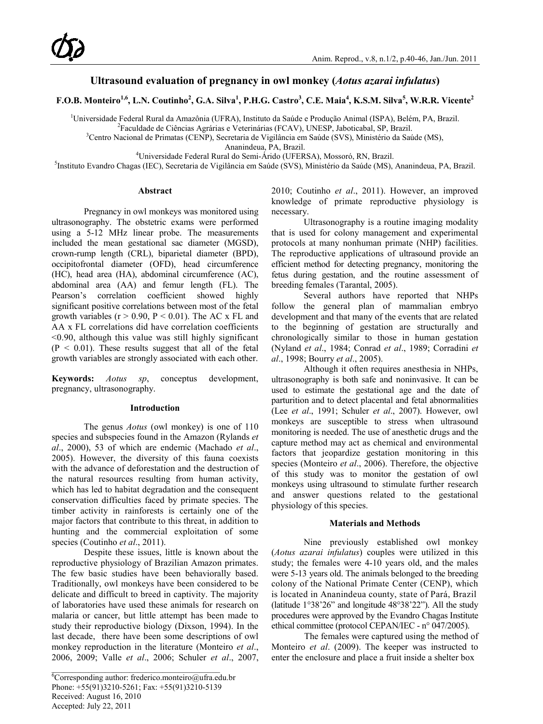## **Ultrasound evaluation of pregnancy in owl monkey (***Aotus azarai infulatus***)**

F.O.B. Monteiro<sup>1,6</sup>, L.N. Coutinho<sup>2</sup>, G.A. Silva<sup>1</sup>, P.H.G. Castro<sup>3</sup>, C.E. Maia<sup>4</sup>, K.S.M. Silva<sup>5</sup>, W.R.R. Vicente<sup>2</sup>

<sup>1</sup>Universidade Federal Rural da Amazônia (UFRA), Instituto da Saúde e Produção Animal (ISPA), Belém, PA, Brazil.<br><sup>2</sup>Eaculdade de Ciências Agrácias e Veterinárias (ECAV), UNESP, Jaboticabal, SP, Brazil.

<sup>2</sup>Faculdade de Ciências Agrárias e Veterinárias (FCAV), UNESP, Jaboticabal, SP, Brazil.

<sup>3</sup>Centro Nacional de Primatas (CENP), Secretaria de Vigilância em Saúde (SVS), Ministério da Saúde (MS),

Ananindeua, PA, Brazil.<br><sup>4</sup>Universidade Federal Pural do Semi, Árido (UEEP Universidade Federal Rural do Semi-Árido (UFERSA), Mossoró, RN, Brazil.<br><sup>5</sup>Instituto Evandro Chagas (IEC), Secretaria de Vigilância em Saúde (SVS), Ministério da Saúde (MS).

Instituto Evandro Chagas (IEC), Secretaria de Vigilância em Saúde (SVS), Ministério da Saúde (MS), Ananindeua, PA, Brazil.

#### **Abstract**

Pregnancy in owl monkeys was monitored using ultrasonography. The obstetric exams were performed using a 5-12 MHz linear probe. The measurements included the mean gestational sac diameter (MGSD), crown-rump length (CRL), biparietal diameter (BPD), occipitofrontal diameter (OFD), head circumference (HC), head area (HA), abdominal circumference (AC), abdominal area (AA) and femur length (FL). The Pearson's correlation coefficient showed highly significant positive correlations between most of the fetal growth variables ( $r > 0.90$ ,  $P < 0.01$ ). The AC x FL and AA x FL correlations did have correlation coefficients  $\leq$ 0.90, although this value was still highly significant  $(P < 0.01)$ . These results suggest that all of the fetal growth variables are strongly associated with each other.

**Keywords:** *Aotus sp*, conceptus development, pregnancy, ultrasonography.

#### **Introduction**

The genus *Aotus* (owl monkey) is one of 110 species and subspecies found in the Amazon (Rylands *et al*., 2000), 53 of which are endemic (Machado *et al*., 2005). However, the diversity of this fauna coexists with the advance of deforestation and the destruction of the natural resources resulting from human activity, which has led to habitat degradation and the consequent conservation difficulties faced by primate species. The timber activity in rainforests is certainly one of the major factors that contribute to this threat, in addition to hunting and the commercial exploitation of some species (Coutinho *et al*., 2011).

Despite these issues, little is known about the reproductive physiology of Brazilian Amazon primates. The few basic studies have been behaviorally based. Traditionally, owl monkeys have been considered to be delicate and difficult to breed in captivity. The majority of laboratories have used these animals for research on malaria or cancer, but little attempt has been made to study their reproductive biology (Dixson, 1994). In the last decade, there have been some descriptions of owl monkey reproduction in the literature (Monteiro *et al*., 2006, 2009; Valle *et al*., 2006; Schuler *et al*., 2007, 2010; Coutinho *et al*., 2011). However, an improved knowledge of primate reproductive physiology is necessary.

Ultrasonography is a routine imaging modality that is used for colony management and experimental protocols at many nonhuman primate (NHP) facilities. The reproductive applications of ultrasound provide an efficient method for detecting pregnancy, monitoring the fetus during gestation, and the routine assessment of breeding females (Tarantal, 2005).

Several authors have reported that NHPs follow the general plan of mammalian embryo development and that many of the events that are related to the beginning of gestation are structurally and chronologically similar to those in human gestation (Nyland *et al*., 1984; Conrad *et al*., 1989; Corradini *et al*., 1998; Bourry *et al*., 2005).

Although it often requires anesthesia in NHPs, ultrasonography is both safe and noninvasive. It can be used to estimate the gestational age and the date of parturition and to detect placental and fetal abnormalities (Lee *et al*., 1991; Schuler *et al*., 2007). However, owl monkeys are susceptible to stress when ultrasound monitoring is needed. The use of anesthetic drugs and the capture method may act as chemical and environmental factors that jeopardize gestation monitoring in this species (Monteiro *et al.*, 2006). Therefore, the objective of this study was to monitor the gestation of owl monkeys using ultrasound to stimulate further research and answer questions related to the gestational physiology of this species.

#### **Materials and Methods**

Nine previously established owl monkey (*Aotus azarai infulatus*) couples were utilized in this study; the females were 4-10 years old, and the males were 5-13 years old. The animals belonged to the breeding colony of the National Primate Center (CENP), which is located in Ananindeua county, state of Pará, Brazil (latitude 1°38'26" and longitude 48°38'22"). All the study procedures were approved by the Evandro Chagas Institute ethical committee (protocol CEPAN/IEC - n° 047/2005).

The females were captured using the method of Monteiro *et al*. (2009). The keeper was instructed to enter the enclosure and place a fruit inside a shelter box

<sup>&</sup>lt;sup>6</sup>Corresponding author: frederico.monteiro@ufra.edu.br Phone: +55(91)3210-5261; Fax: +55(91)3210-5139 Received: August 16, 2010 Accepted: July 22, 2011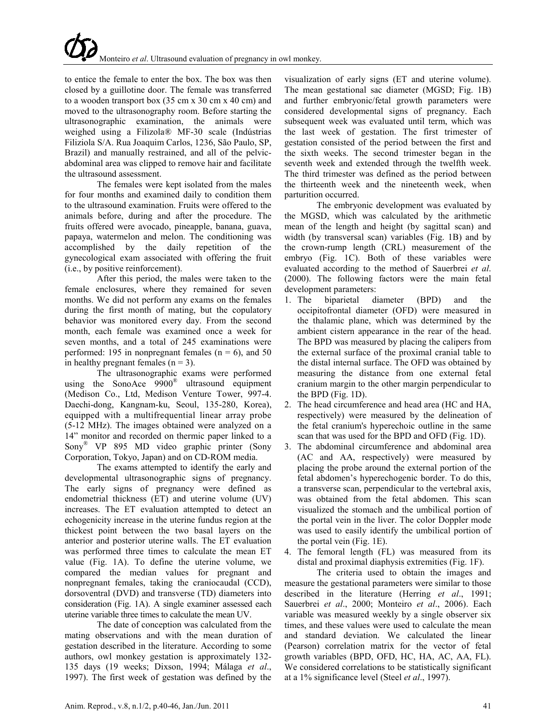to entice the female to enter the box. The box was then closed by a guillotine door. The female was transferred to a wooden transport box (35 cm x 30 cm x 40 cm) and moved to the ultrasonography room. Before starting the ultrasonographic examination, the animals were weighed using a Filizola® MF-30 scale (Indústrias Filiziola S/A. Rua Joaquim Carlos, 1236, São Paulo, SP, Brazil) and manually restrained, and all of the pelvicabdominal area was clipped to remove hair and facilitate the ultrasound assessment.

The females were kept isolated from the males for four months and examined daily to condition them to the ultrasound examination. Fruits were offered to the animals before, during and after the procedure. The fruits offered were avocado, pineapple, banana, guava, papaya, watermelon and melon. The conditioning was accomplished by the daily repetition of the gynecological exam associated with offering the fruit (i.e., by positive reinforcement).

After this period, the males were taken to the female enclosures, where they remained for seven months. We did not perform any exams on the females during the first month of mating, but the copulatory behavior was monitored every day. From the second month, each female was examined once a week for seven months, and a total of 245 examinations were performed: 195 in nonpregnant females ( $n = 6$ ), and 50 in healthy pregnant females  $(n = 3)$ .

The ultrasonographic exams were performed using the SonoAce  $9900^{\circ\circ}$  ultrasound equipment (Medison Co., Ltd, Medison Venture Tower, 997-4. Daechi-dong, Kangnam-ku, Seoul, 135-280, Korea), equipped with a multifrequential linear array probe (5-12 MHz). The images obtained were analyzed on a 14" monitor and recorded on thermic paper linked to a Sony® VP 895 MD video graphic printer (Sony Corporation, Tokyo, Japan) and on CD-ROM media.

The exams attempted to identify the early and developmental ultrasonographic signs of pregnancy. The early signs of pregnancy were defined as endometrial thickness (ET) and uterine volume (UV) increases. The ET evaluation attempted to detect an echogenicity increase in the uterine fundus region at the thickest point between the two basal layers on the anterior and posterior uterine walls. The ET evaluation was performed three times to calculate the mean ET value (Fig. 1A). To define the uterine volume, we compared the median values for pregnant and nonpregnant females, taking the craniocaudal (CCD), dorsoventral (DVD) and transverse (TD) diameters into consideration (Fig. 1A). A single examiner assessed each uterine variable three times to calculate the mean UV.

The date of conception was calculated from the mating observations and with the mean duration of gestation described in the literature. According to some authors, owl monkey gestation is approximately 132- 135 days (19 weeks; Dixson, 1994; Málaga *et al*., 1997). The first week of gestation was defined by the visualization of early signs (ET and uterine volume). The mean gestational sac diameter (MGSD; Fig. 1B) and further embryonic/fetal growth parameters were considered developmental signs of pregnancy. Each subsequent week was evaluated until term, which was the last week of gestation. The first trimester of gestation consisted of the period between the first and the sixth weeks. The second trimester began in the seventh week and extended through the twelfth week. The third trimester was defined as the period between the thirteenth week and the nineteenth week, when parturition occurred.

The embryonic development was evaluated by the MGSD, which was calculated by the arithmetic mean of the length and height (by sagittal scan) and width (by transversal scan) variables (Fig. 1B) and by the crown-rump length (CRL) measurement of the embryo (Fig. 1C). Both of these variables were evaluated according to the method of Sauerbrei *et al*. (2000). The following factors were the main fetal development parameters:

- 1. The biparietal diameter (BPD) and the occipitofrontal diameter (OFD) were measured in the thalamic plane, which was determined by the ambient cistern appearance in the rear of the head. The BPD was measured by placing the calipers from the external surface of the proximal cranial table to the distal internal surface. The OFD was obtained by measuring the distance from one external fetal cranium margin to the other margin perpendicular to the BPD (Fig. 1D).
- 2. The head circumference and head area (HC and HA, respectively) were measured by the delineation of the fetal cranium's hyperechoic outline in the same scan that was used for the BPD and OFD (Fig. 1D).
- 3. The abdominal circumference and abdominal area (AC and AA, respectively) were measured by placing the probe around the external portion of the fetal abdomen's hyperechogenic border. To do this, a transverse scan, perpendicular to the vertebral axis, was obtained from the fetal abdomen. This scan visualized the stomach and the umbilical portion of the portal vein in the liver. The color Doppler mode was used to easily identify the umbilical portion of the portal vein (Fig. 1E).
- 4. The femoral length (FL) was measured from its distal and proximal diaphysis extremities (Fig. 1F).

The criteria used to obtain the images and measure the gestational parameters were similar to those described in the literature (Herring *et al*., 1991; Sauerbrei *et al*., 2000; Monteiro *et al*., 2006). Each variable was measured weekly by a single observer six times, and these values were used to calculate the mean and standard deviation. We calculated the linear (Pearson) correlation matrix for the vector of fetal growth variables (BPD, OFD, HC, HA, AC, AA, FL). We considered correlations to be statistically significant at a 1% significance level (Steel *et al*., 1997).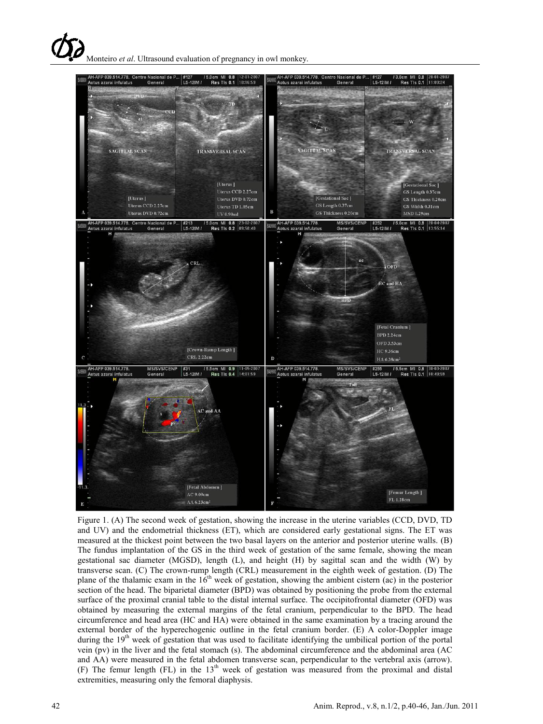

Figure 1. (A) The second week of gestation, showing the increase in the uterine variables (CCD, DVD, TD and UV) and the endometrial thickness (ET), which are considered early gestational signs. The ET was measured at the thickest point between the two basal layers on the anterior and posterior uterine walls. (B) The fundus implantation of the GS in the third week of gestation of the same female, showing the mean gestational sac diameter (MGSD), length (L), and height (H) by sagittal scan and the width (W) by transverse scan. (C) The crown-rump length (CRL) measurement in the eighth week of gestation. (D) The plane of the thalamic exam in the  $16<sup>th</sup>$  week of gestation, showing the ambient cistern (ac) in the posterior section of the head. The biparietal diameter (BPD) was obtained by positioning the probe from the external surface of the proximal cranial table to the distal internal surface. The occipitofrontal diameter (OFD) was obtained by measuring the external margins of the fetal cranium, perpendicular to the BPD. The head circumference and head area (HC and HA) were obtained in the same examination by a tracing around the external border of the hyperechogenic outline in the fetal cranium border. (E) A color-Doppler image during the 19<sup>th</sup> week of gestation that was used to facilitate identifying the umbilical portion of the portal vein (pv) in the liver and the fetal stomach (s). The abdominal circumference and the abdominal area (AC and AA) were measured in the fetal abdomen transverse scan, perpendicular to the vertebral axis (arrow). (F) The femur length (FL) in the  $13<sup>th</sup>$  week of gestation was measured from the proximal and distal extremities, measuring only the femoral diaphysis.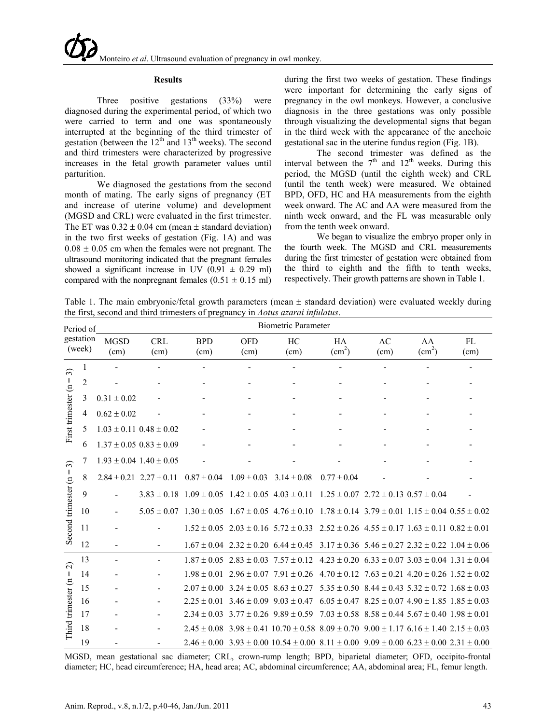#### **Results**

Three positive gestations (33%) were diagnosed during the experimental period, of which two were carried to term and one was spontaneously interrupted at the beginning of the third trimester of gestation (between the  $12<sup>th</sup>$  and  $13<sup>th</sup>$  weeks). The second and third trimesters were characterized by progressive increases in the fetal growth parameter values until parturition.

We diagnosed the gestations from the second month of mating. The early signs of pregnancy (ET and increase of uterine volume) and development (MGSD and CRL) were evaluated in the first trimester. The ET was  $0.32 \pm 0.04$  cm (mean  $\pm$  standard deviation) in the two first weeks of gestation (Fig. 1A) and was  $0.08 \pm 0.05$  cm when the females were not pregnant. The ultrasound monitoring indicated that the pregnant females showed a significant increase in UV (0.91  $\pm$  0.29 ml) compared with the nonpregnant females  $(0.51 \pm 0.15 \text{ ml})$ 

during the first two weeks of gestation. These findings were important for determining the early signs of pregnancy in the owl monkeys. However, a conclusive diagnosis in the three gestations was only possible through visualizing the developmental signs that began in the third week with the appearance of the anechoic gestational sac in the uterine fundus region (Fig. 1B).

The second trimester was defined as the interval between the  $7<sup>th</sup>$  and  $12<sup>th</sup>$  weeks. During this period, the MGSD (until the eighth week) and CRL (until the tenth week) were measured. We obtained BPD, OFD, HC and HA measurements from the eighth week onward. The AC and AA were measured from the ninth week onward, and the FL was measurable only from the tenth week onward.

We began to visualize the embryo proper only in the fourth week. The MGSD and CRL measurements during the first trimester of gestation were obtained from the third to eighth and the fifth to tenth weeks, respectively. Their growth patterns are shown in Table 1.

Table 1. The main embryonic/fetal growth parameters (mean  $\pm$  standard deviation) were evaluated weekly during the first, second and third trimesters of pregnancy in *Aotus azarai infulatus*.

| Period of<br>gestation<br>(week)                              |                | <b>Biometric Parameter</b> |                                 |                    |                                                 |                                                                                                                                 |                                                                 |                |                              |            |  |  |
|---------------------------------------------------------------|----------------|----------------------------|---------------------------------|--------------------|-------------------------------------------------|---------------------------------------------------------------------------------------------------------------------------------|-----------------------------------------------------------------|----------------|------------------------------|------------|--|--|
|                                                               |                | <b>MGSD</b><br>(cm)        | <b>CRL</b><br>(cm)              | <b>BPD</b><br>(cm) | <b>OFD</b><br>(cm)                              | HC<br>(cm)                                                                                                                      | HA<br>(cm <sup>2</sup> )                                        | AC<br>(cm)     | AA<br>(cm <sup>2</sup> )     | FL<br>(cm) |  |  |
| $\widehat{\mathfrak{D}}$<br>Ш<br>First trimester (n           | 1              |                            |                                 | $\blacksquare$     | $\blacksquare$                                  | $\blacksquare$                                                                                                                  | ٠                                                               | $\overline{a}$ | $\qquad \qquad \blacksquare$ |            |  |  |
|                                                               | $\overline{2}$ |                            |                                 | $\blacksquare$     | $\overline{\phantom{a}}$                        | $\overline{\phantom{a}}$                                                                                                        | -                                                               |                |                              |            |  |  |
|                                                               | 3              | $0.31 \pm 0.02$            |                                 |                    |                                                 |                                                                                                                                 |                                                                 |                |                              |            |  |  |
|                                                               | 4              | $0.62 \pm 0.02$            |                                 |                    |                                                 |                                                                                                                                 |                                                                 |                |                              |            |  |  |
|                                                               | 5              |                            | $1.03 \pm 0.11$ $0.48 \pm 0.02$ |                    |                                                 |                                                                                                                                 |                                                                 |                |                              |            |  |  |
|                                                               | 6              |                            | $1.37 \pm 0.05$ $0.83 \pm 0.09$ | $\blacksquare$     | $\overline{\phantom{a}}$                        | $\overline{\phantom{a}}$                                                                                                        | $\qquad \qquad \blacksquare$                                    |                |                              |            |  |  |
| $\widehat{\mathfrak{D}}$<br>Ш<br>Second trimester (n          | 7              |                            | $1.93 \pm 0.04$ $1.40 \pm 0.05$ |                    |                                                 |                                                                                                                                 |                                                                 |                |                              |            |  |  |
|                                                               | 8              |                            | $2.84 \pm 0.21$ $2.27 \pm 0.11$ | $0.87 \pm 0.04$    | $1.09 \pm 0.03$                                 | $3.14 \pm 0.08$                                                                                                                 | $0.77 \pm 0.04$                                                 |                |                              |            |  |  |
|                                                               | 9              |                            |                                 |                    |                                                 | $3.83 \pm 0.18$ 1.09 $\pm$ 0.05 1.42 $\pm$ 0.05 4.03 $\pm$ 0.11 1.25 $\pm$ 0.07 2.72 $\pm$ 0.13 0.57 $\pm$ 0.04                 |                                                                 |                |                              |            |  |  |
|                                                               | 10             |                            |                                 |                    |                                                 | $5.05 \pm 0.07$ $1.30 \pm 0.05$ $1.67 \pm 0.05$ $4.76 \pm 0.10$ $1.78 \pm 0.14$ $3.79 \pm 0.01$ $1.15 \pm 0.04$ $0.55 \pm 0.02$ |                                                                 |                |                              |            |  |  |
|                                                               | 11             |                            |                                 |                    |                                                 | $1.52 \pm 0.05$ $2.03 \pm 0.16$ $5.72 \pm 0.33$ $2.52 \pm 0.26$ $4.55 \pm 0.17$ $1.63 \pm 0.11$ $0.82 \pm 0.01$                 |                                                                 |                |                              |            |  |  |
|                                                               | 12             |                            |                                 |                    |                                                 | $1.67 \pm 0.04$ $2.32 \pm 0.20$ $6.44 \pm 0.45$ $3.17 \pm 0.36$ $5.46 \pm 0.27$ $2.32 \pm 0.22$ $1.04 \pm 0.06$                 |                                                                 |                |                              |            |  |  |
| $\widehat{\mathcal{L}}$<br>$\vert\vert$<br>Third trimester (n | 13             | ۰                          |                                 |                    |                                                 | $1.87 \pm 0.05$ $2.83 \pm 0.03$ $7.57 \pm 0.12$                                                                                 | $4.23 \pm 0.20$ 6.33 $\pm$ 0.07 3.03 $\pm$ 0.04 1.31 $\pm$ 0.04 |                |                              |            |  |  |
|                                                               | 14             |                            |                                 |                    |                                                 | $1.98 \pm 0.01$ $2.96 \pm 0.07$ $7.91 \pm 0.26$ $4.70 \pm 0.12$ $7.63 \pm 0.21$ $4.20 \pm 0.26$ $1.52 \pm 0.02$                 |                                                                 |                |                              |            |  |  |
|                                                               | 15             |                            |                                 |                    | $2.07 \pm 0.00$ $3.24 \pm 0.05$ $8.63 \pm 0.27$ |                                                                                                                                 | $5.35 \pm 0.50$ 8.44 $\pm$ 0.43 $5.32 \pm 0.72$ 1.68 $\pm$ 0.03 |                |                              |            |  |  |
|                                                               | 16             |                            |                                 | $2.25 \pm 0.01$    | $3.46 \pm 0.09$ $9.03 \pm 0.47$                 |                                                                                                                                 | $6.05 \pm 0.47$ $8.25 \pm 0.07$ $4.90 \pm 1.85$ $1.85 \pm 0.03$ |                |                              |            |  |  |
|                                                               | 17             |                            |                                 |                    |                                                 | $2.34 \pm 0.03$ $3.77 \pm 0.26$ $9.89 \pm 0.59$                                                                                 | $7.03 \pm 0.58$ $8.58 \pm 0.44$ $5.67 \pm 0.40$ $1.98 \pm 0.01$ |                |                              |            |  |  |
|                                                               | 18             |                            |                                 |                    |                                                 | $2.45 \pm 0.08$ $3.98 \pm 0.41$ $10.70 \pm 0.58$ $8.09 \pm 0.70$ $9.00 \pm 1.17$ $6.16 \pm 1.40$ $2.15 \pm 0.03$                |                                                                 |                |                              |            |  |  |
|                                                               | 19             |                            |                                 |                    |                                                 | $2.46 \pm 0.00$ $3.93 \pm 0.00$ $10.54 \pm 0.00$ $8.11 \pm 0.00$ $9.09 \pm 0.00$ $6.23 \pm 0.00$ $2.31 \pm 0.00$                |                                                                 |                |                              |            |  |  |

MGSD, mean gestational sac diameter; CRL, crown-rump length; BPD, biparietal diameter; OFD, occipito-frontal diameter; HC, head circumference; HA, head area; AC, abdominal circumference; AA, abdominal area; FL, femur length.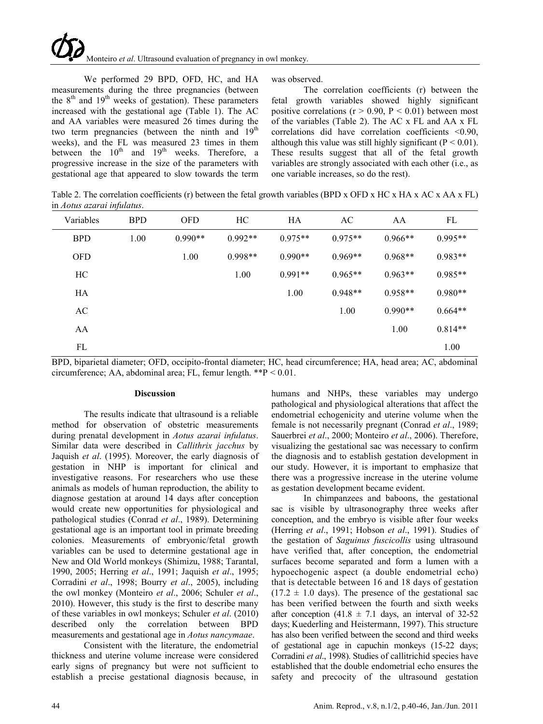# Monteiro *et al*. Ultrasound evaluation of pregnancy in owl monkey.

We performed 29 BPD, OFD, HC, and HA measurements during the three pregnancies (between the  $8<sup>th</sup>$  and  $19<sup>th</sup>$  weeks of gestation). These parameters increased with the gestational age (Table 1). The AC and AA variables were measured 26 times during the two term pregnancies (between the ninth and  $19<sup>th</sup>$ weeks), and the FL was measured 23 times in them between the  $10^{th}$  and  $19^{th}$  weeks. Therefore, a progressive increase in the size of the parameters with gestational age that appeared to slow towards the term

was observed.

The correlation coefficients (r) between the fetal growth variables showed highly significant positive correlations ( $r > 0.90$ ,  $P < 0.01$ ) between most of the variables (Table 2). The AC x FL and AA x FL correlations did have correlation coefficients <0.90, although this value was still highly significant ( $P < 0.01$ ). These results suggest that all of the fetal growth variables are strongly associated with each other (i.e., as one variable increases, so do the rest).

Table 2. The correlation coefficients (r) between the fetal growth variables (BPD x OFD x HC x HA x AC x AA x FL) in *Aotus azarai infulatus*.

| Variables  | <b>BPD</b> | <b>OFD</b> | HC        | HA        | AC        | AA        | FL        |
|------------|------------|------------|-----------|-----------|-----------|-----------|-----------|
| <b>BPD</b> | 1.00       | $0.990**$  | $0.992**$ | $0.975**$ | $0.975**$ | $0.966**$ | $0.995**$ |
| <b>OFD</b> |            | 1.00       | $0.998**$ | $0.990**$ | $0.969**$ | $0.968**$ | $0.983**$ |
| HC         |            |            | 1.00      | $0.991**$ | $0.965**$ | $0.963**$ | $0.985**$ |
| HA         |            |            |           | 1.00      | $0.948**$ | $0.958**$ | $0.980**$ |
| AC         |            |            |           |           | 1.00      | $0.990**$ | $0.664**$ |
| AA         |            |            |           |           |           | 1.00      | $0.814**$ |
| FL         |            |            |           |           |           |           | 1.00      |

BPD, biparietal diameter; OFD, occipito-frontal diameter; HC, head circumference; HA, head area; AC, abdominal circumference; AA, abdominal area; FL, femur length. \*\*P < 0.01.

#### **Discussion**

The results indicate that ultrasound is a reliable method for observation of obstetric measurements during prenatal development in *Aotus azarai infulatus*. Similar data were described in *Callithrix jacchus* by Jaquish *et al*. (1995). Moreover, the early diagnosis of gestation in NHP is important for clinical and investigative reasons. For researchers who use these animals as models of human reproduction, the ability to diagnose gestation at around 14 days after conception would create new opportunities for physiological and pathological studies (Conrad *et al*., 1989). Determining gestational age is an important tool in primate breeding colonies. Measurements of embryonic/fetal growth variables can be used to determine gestational age in New and Old World monkeys (Shimizu, 1988; Tarantal, 1990, 2005; Herring *et al*., 1991; Jaquish *et al*., 1995; Corradini *et al*., 1998; Bourry *et al*., 2005), including the owl monkey (Monteiro *et al*., 2006; Schuler *et al*., 2010). However, this study is the first to describe many of these variables in owl monkeys; Schuler *et al*. (2010) described only the correlation between BPD measurements and gestational age in *Aotus nancymaae*.

Consistent with the literature, the endometrial thickness and uterine volume increase were considered early signs of pregnancy but were not sufficient to establish a precise gestational diagnosis because, in

humans and NHPs, these variables may undergo pathological and physiological alterations that affect the endometrial echogenicity and uterine volume when the female is not necessarily pregnant (Conrad *et al*., 1989; Sauerbrei *et al*., 2000; Monteiro *et al*., 2006). Therefore, visualizing the gestational sac was necessary to confirm the diagnosis and to establish gestation development in our study. However, it is important to emphasize that there was a progressive increase in the uterine volume as gestation development became evident.

In chimpanzees and baboons, the gestational sac is visible by ultrasonography three weeks after conception, and the embryo is visible after four weeks (Herring *et al*., 1991; Hobson *et al*., 1991). Studies of the gestation of *Saguinus fuscicollis* using ultrasound have verified that, after conception, the endometrial surfaces become separated and form a lumen with a hypoechogenic aspect (a double endometrial echo) that is detectable between 16 and 18 days of gestation  $(17.2 \pm 1.0 \text{ days})$ . The presence of the gestational sac has been verified between the fourth and sixth weeks after conception (41.8  $\pm$  7.1 days, an interval of 32-52 days; Kuederling and Heistermann, 1997). This structure has also been verified between the second and third weeks of gestational age in capuchin monkeys (15-22 days; Corradini *et al*., 1998). Studies of callitrichid species have established that the double endometrial echo ensures the safety and precocity of the ultrasound gestation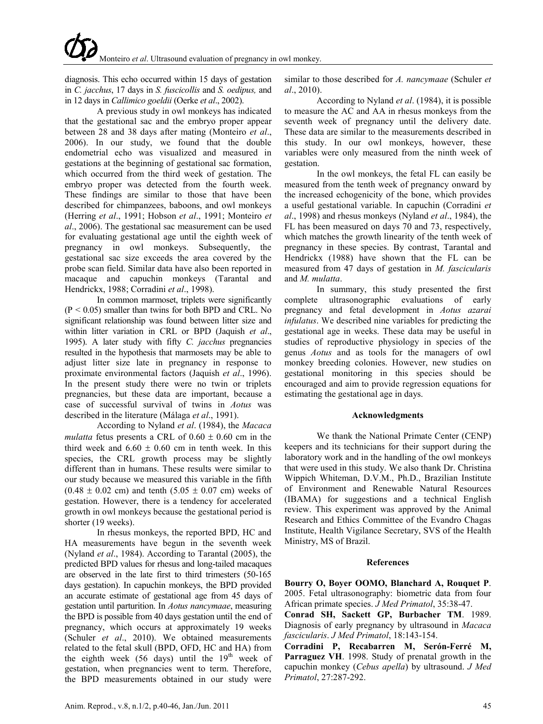diagnosis. This echo occurred within 15 days of gestation in *C. jacchus*, 17 days in *S. fuscicollis* and *S. oedipus,* and in 12 days in *Callimico goeldii* (Oerke *et al*., 2002).

A previous study in owl monkeys has indicated that the gestational sac and the embryo proper appear between 28 and 38 days after mating (Monteiro *et al*., 2006). In our study, we found that the double endometrial echo was visualized and measured in gestations at the beginning of gestational sac formation, which occurred from the third week of gestation. The embryo proper was detected from the fourth week. These findings are similar to those that have been described for chimpanzees, baboons, and owl monkeys (Herring *et al*., 1991; Hobson *et al*., 1991; Monteiro *et al*., 2006). The gestational sac measurement can be used for evaluating gestational age until the eighth week of pregnancy in owl monkeys. Subsequently, the gestational sac size exceeds the area covered by the probe scan field. Similar data have also been reported in macaque and capuchin monkeys (Tarantal and Hendrickx, 1988; Corradini *et al*., 1998).

In common marmoset, triplets were significantly  $(P < 0.05)$  smaller than twins for both BPD and CRL. No significant relationship was found between litter size and within litter variation in CRL or BPD (Jaquish *et al*., 1995). A later study with fifty *C. jacchus* pregnancies resulted in the hypothesis that marmosets may be able to adjust litter size late in pregnancy in response to proximate environmental factors (Jaquish *et al*., 1996). In the present study there were no twin or triplets pregnancies, but these data are important, because a case of successful survival of twins in *Aotus* was described in the literature (Málaga *et al*., 1991).

According to Nyland *et al*. (1984), the *Macaca mulatta* fetus presents a CRL of  $0.60 \pm 0.60$  cm in the third week and  $6.60 \pm 0.60$  cm in tenth week. In this species, the CRL growth process may be slightly different than in humans. These results were similar to our study because we measured this variable in the fifth  $(0.48 \pm 0.02$  cm) and tenth  $(5.05 \pm 0.07)$  cm weeks of gestation. However, there is a tendency for accelerated growth in owl monkeys because the gestational period is shorter (19 weeks).

In rhesus monkeys, the reported BPD, HC and HA measurements have begun in the seventh week (Nyland *et al*., 1984). According to Tarantal (2005), the predicted BPD values for rhesus and long-tailed macaques are observed in the late first to third trimesters (50-165 days gestation). In capuchin monkeys, the BPD provided an accurate estimate of gestational age from 45 days of gestation until parturition. In *Aotus nancymaae*, measuring the BPD is possible from 40 days gestation until the end of pregnancy, which occurs at approximately 19 weeks (Schuler *et al*., 2010). We obtained measurements related to the fetal skull (BPD, OFD, HC and HA) from the eighth week  $(56 \text{ days})$  until the  $19^{\text{th}}$  week of gestation, when pregnancies went to term. Therefore, the BPD measurements obtained in our study were

similar to those described for *A. nancymaae* (Schuler *et al*., 2010).

According to Nyland *et al*. (1984), it is possible to measure the AC and AA in rhesus monkeys from the seventh week of pregnancy until the delivery date. These data are similar to the measurements described in this study. In our owl monkeys, however, these variables were only measured from the ninth week of gestation.

In the owl monkeys, the fetal FL can easily be measured from the tenth week of pregnancy onward by the increased echogenicity of the bone, which provides a useful gestational variable. In capuchin (Corradini *et al*., 1998) and rhesus monkeys (Nyland *et al*., 1984), the FL has been measured on days 70 and 73, respectively, which matches the growth linearity of the tenth week of pregnancy in these species. By contrast, Tarantal and Hendrickx (1988) have shown that the FL can be measured from 47 days of gestation in *M. fascicularis* and *M. mulatta*.

In summary, this study presented the first complete ultrasonographic evaluations of early pregnancy and fetal development in *Aotus azarai infulatus*. We described nine variables for predicting the gestational age in weeks. These data may be useful in studies of reproductive physiology in species of the genus *Aotus* and as tools for the managers of owl monkey breeding colonies. However, new studies on gestational monitoring in this species should be encouraged and aim to provide regression equations for estimating the gestational age in days.

## **Acknowledgments**

We thank the National Primate Center (CENP) keepers and its technicians for their support during the laboratory work and in the handling of the owl monkeys that were used in this study. We also thank Dr. Christina Wippich Whiteman, D.V.M., Ph.D., Brazilian Institute of Environment and Renewable Natural Resources (IBAMA) for suggestions and a technical English review. This experiment was approved by the Animal Research and Ethics Committee of the Evandro Chagas Institute, Health Vigilance Secretary, SVS of the Health Ministry, MS of Brazil.

### **References**

**Bourry O, Boyer OOMO, Blanchard A, Rouquet P**. 2005. Fetal ultrasonography: biometric data from four African primate species. *J Med Primatol*, 35:38-47.

**Conrad SH, Sackett GP, Burbacher TM**. 1989. Diagnosis of early pregnancy by ultrasound in *Macaca fascicularis*. *J Med Primatol*, 18:143-154.

**Corradini P, Recabarren M, Serón-Ferré M, Parraguez VH**. 1998. Study of prenatal growth in the capuchin monkey (*Cebus apella*) by ultrasound. *J Med Primatol*, 27:287-292.